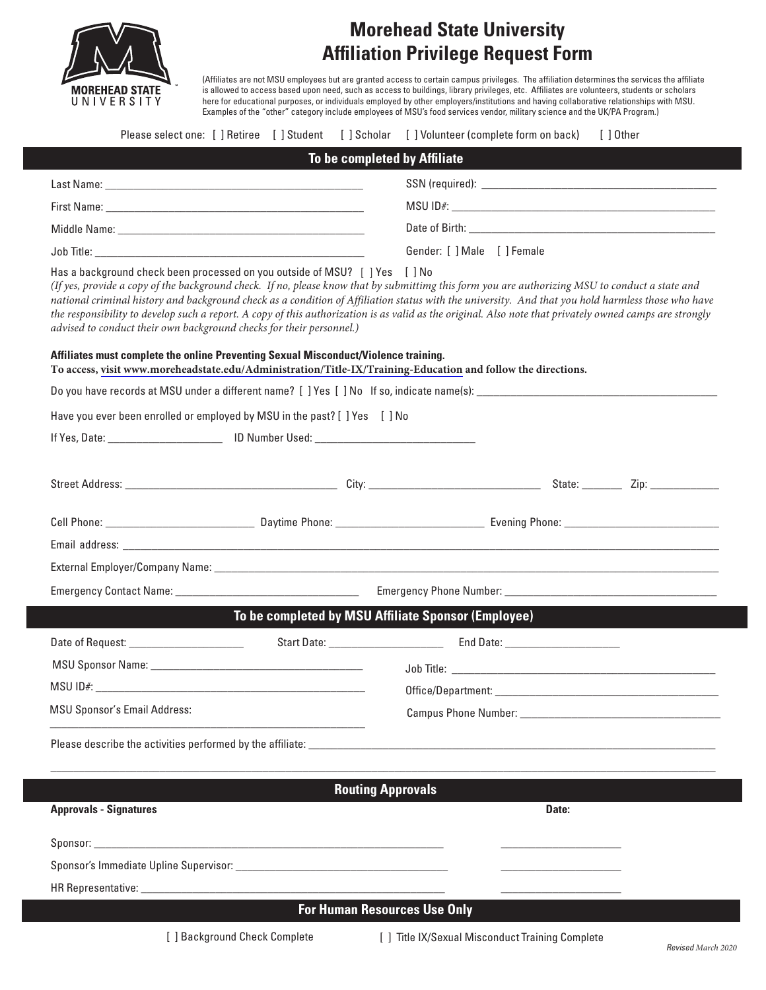

## **Morehead State University Affiliation Privilege Request Form**

(Affiliates are not MSU employees but are granted access to certain campus privileges. The affiliation determines the services the affiliate is allowed to access based upon need, such as access to buildings, library privileges, etc. Affiliates are volunteers, students or scholars here for educational purposes, or individuals employed by other employers/institutions and having collaborative relationships with MSU. Examples of the "other" category include employees of MSU's food services vendor, military science and the UK/PA Program.)

|                                                                                                                                                     |                                                     | Please select one: [] Retiree [] Student [] Scholar [] Volunteer (complete form on back)<br>[ ] Other                                                                                                                                                                                                                                                                                                                                                             |
|-----------------------------------------------------------------------------------------------------------------------------------------------------|-----------------------------------------------------|-------------------------------------------------------------------------------------------------------------------------------------------------------------------------------------------------------------------------------------------------------------------------------------------------------------------------------------------------------------------------------------------------------------------------------------------------------------------|
|                                                                                                                                                     | To be completed by Affiliate                        |                                                                                                                                                                                                                                                                                                                                                                                                                                                                   |
|                                                                                                                                                     |                                                     |                                                                                                                                                                                                                                                                                                                                                                                                                                                                   |
|                                                                                                                                                     |                                                     |                                                                                                                                                                                                                                                                                                                                                                                                                                                                   |
|                                                                                                                                                     |                                                     |                                                                                                                                                                                                                                                                                                                                                                                                                                                                   |
| Job Title: We have a state of the state of the state of the state of the state of the state of the state of the                                     |                                                     | Gender: [ ] Male [ ] Female                                                                                                                                                                                                                                                                                                                                                                                                                                       |
| Has a background check been processed on you outside of MSU? [ ] Yes [ ] No<br>advised to conduct their own background checks for their personnel.) |                                                     | (If yes, provide a copy of the background check. If no, please know that by submittimg this form you are authorizing MSU to conduct a state and<br>national criminal history and background check as a condition of Affiliation status with the university. And that you hold harmless those who have<br>the responsibility to develop such a report. A copy of this authorization is as valid as the original. Also note that privately owned camps are strongly |
| Affiliates must complete the online Preventing Sexual Misconduct/Violence training.                                                                 |                                                     | To access, visit www.moreheadstate.edu/Administration/Title-IX/Training-Education and follow the directions.                                                                                                                                                                                                                                                                                                                                                      |
|                                                                                                                                                     |                                                     |                                                                                                                                                                                                                                                                                                                                                                                                                                                                   |
| Have you ever been enrolled or employed by MSU in the past? [ ] Yes [ ] No                                                                          |                                                     |                                                                                                                                                                                                                                                                                                                                                                                                                                                                   |
|                                                                                                                                                     |                                                     |                                                                                                                                                                                                                                                                                                                                                                                                                                                                   |
|                                                                                                                                                     |                                                     |                                                                                                                                                                                                                                                                                                                                                                                                                                                                   |
|                                                                                                                                                     |                                                     |                                                                                                                                                                                                                                                                                                                                                                                                                                                                   |
|                                                                                                                                                     |                                                     |                                                                                                                                                                                                                                                                                                                                                                                                                                                                   |
|                                                                                                                                                     |                                                     |                                                                                                                                                                                                                                                                                                                                                                                                                                                                   |
|                                                                                                                                                     |                                                     |                                                                                                                                                                                                                                                                                                                                                                                                                                                                   |
|                                                                                                                                                     | To be completed by MSU Affiliate Sponsor (Employee) |                                                                                                                                                                                                                                                                                                                                                                                                                                                                   |
| Date of Request: ____________________                                                                                                               |                                                     |                                                                                                                                                                                                                                                                                                                                                                                                                                                                   |
|                                                                                                                                                     |                                                     |                                                                                                                                                                                                                                                                                                                                                                                                                                                                   |
| $MSU$ ID#:<br><u> 1980 - Jan Barbarat, martin da shekara tshirin mashrida na shekara tshirin mashrida</u>                                           |                                                     |                                                                                                                                                                                                                                                                                                                                                                                                                                                                   |
| <b>MSU Sponsor's Email Address:</b>                                                                                                                 |                                                     |                                                                                                                                                                                                                                                                                                                                                                                                                                                                   |
|                                                                                                                                                     |                                                     |                                                                                                                                                                                                                                                                                                                                                                                                                                                                   |
|                                                                                                                                                     | <b>Routing Approvals</b>                            |                                                                                                                                                                                                                                                                                                                                                                                                                                                                   |
| <b>Approvals - Signatures</b>                                                                                                                       |                                                     | Date:                                                                                                                                                                                                                                                                                                                                                                                                                                                             |
|                                                                                                                                                     |                                                     |                                                                                                                                                                                                                                                                                                                                                                                                                                                                   |
|                                                                                                                                                     |                                                     |                                                                                                                                                                                                                                                                                                                                                                                                                                                                   |
|                                                                                                                                                     |                                                     |                                                                                                                                                                                                                                                                                                                                                                                                                                                                   |
|                                                                                                                                                     | <b>For Human Resources Use Only</b>                 |                                                                                                                                                                                                                                                                                                                                                                                                                                                                   |